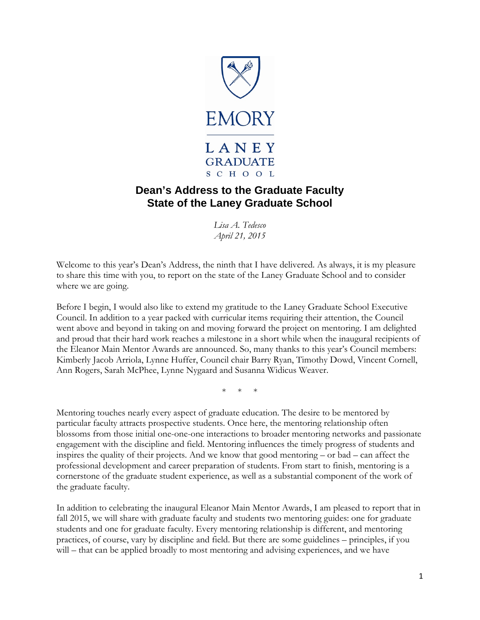

## **Dean's Address to the Graduate Faculty State of the Laney Graduate School**

*Lisa A. Tedesco April 21, 2015*

Welcome to this year's Dean's Address, the ninth that I have delivered. As always, it is my pleasure to share this time with you, to report on the state of the Laney Graduate School and to consider where we are going.

Before I begin, I would also like to extend my gratitude to the Laney Graduate School Executive Council. In addition to a year packed with curricular items requiring their attention, the Council went above and beyond in taking on and moving forward the project on mentoring. I am delighted and proud that their hard work reaches a milestone in a short while when the inaugural recipients of the Eleanor Main Mentor Awards are announced. So, many thanks to this year's Council members: Kimberly Jacob Arriola, Lynne Huffer, Council chair Barry Ryan, Timothy Dowd, Vincent Cornell, Ann Rogers, Sarah McPhee, Lynne Nygaard and Susanna Widicus Weaver.

\* \* \*

Mentoring touches nearly every aspect of graduate education. The desire to be mentored by particular faculty attracts prospective students. Once here, the mentoring relationship often blossoms from those initial one-one-one interactions to broader mentoring networks and passionate engagement with the discipline and field. Mentoring influences the timely progress of students and inspires the quality of their projects. And we know that good mentoring – or bad – can affect the professional development and career preparation of students. From start to finish, mentoring is a cornerstone of the graduate student experience, as well as a substantial component of the work of the graduate faculty.

In addition to celebrating the inaugural Eleanor Main Mentor Awards, I am pleased to report that in fall 2015, we will share with graduate faculty and students two mentoring guides: one for graduate students and one for graduate faculty. Every mentoring relationship is different, and mentoring practices, of course, vary by discipline and field. But there are some guidelines – principles, if you will – that can be applied broadly to most mentoring and advising experiences, and we have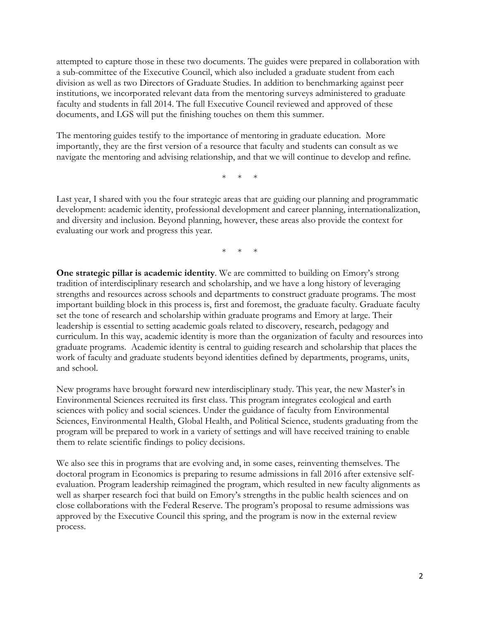attempted to capture those in these two documents. The guides were prepared in collaboration with a sub-committee of the Executive Council, which also included a graduate student from each division as well as two Directors of Graduate Studies. In addition to benchmarking against peer institutions, we incorporated relevant data from the mentoring surveys administered to graduate faculty and students in fall 2014. The full Executive Council reviewed and approved of these documents, and LGS will put the finishing touches on them this summer.

The mentoring guides testify to the importance of mentoring in graduate education. More importantly, they are the first version of a resource that faculty and students can consult as we navigate the mentoring and advising relationship, and that we will continue to develop and refine.

\* \* \*

Last year, I shared with you the four strategic areas that are guiding our planning and programmatic development: academic identity, professional development and career planning, internationalization, and diversity and inclusion. Beyond planning, however, these areas also provide the context for evaluating our work and progress this year.

\* \* \*

**One strategic pillar is academic identity**. We are committed to building on Emory's strong tradition of interdisciplinary research and scholarship, and we have a long history of leveraging strengths and resources across schools and departments to construct graduate programs. The most important building block in this process is, first and foremost, the graduate faculty. Graduate faculty set the tone of research and scholarship within graduate programs and Emory at large. Their leadership is essential to setting academic goals related to discovery, research, pedagogy and curriculum. In this way, academic identity is more than the organization of faculty and resources into graduate programs. Academic identity is central to guiding research and scholarship that places the work of faculty and graduate students beyond identities defined by departments, programs, units, and school.

New programs have brought forward new interdisciplinary study. This year, the new Master's in Environmental Sciences recruited its first class. This program integrates ecological and earth sciences with policy and social sciences. Under the guidance of faculty from Environmental Sciences, Environmental Health, Global Health, and Political Science, students graduating from the program will be prepared to work in a variety of settings and will have received training to enable them to relate scientific findings to policy decisions.

We also see this in programs that are evolving and, in some cases, reinventing themselves. The doctoral program in Economics is preparing to resume admissions in fall 2016 after extensive selfevaluation. Program leadership reimagined the program, which resulted in new faculty alignments as well as sharper research foci that build on Emory's strengths in the public health sciences and on close collaborations with the Federal Reserve. The program's proposal to resume admissions was approved by the Executive Council this spring, and the program is now in the external review process.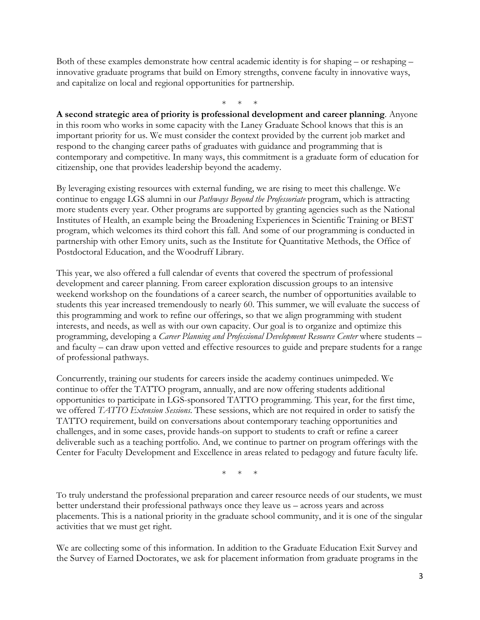Both of these examples demonstrate how central academic identity is for shaping – or reshaping – innovative graduate programs that build on Emory strengths, convene faculty in innovative ways, and capitalize on local and regional opportunities for partnership.

\* \* \*

**A second strategic area of priority is professional development and career planning**. Anyone in this room who works in some capacity with the Laney Graduate School knows that this is an important priority for us. We must consider the context provided by the current job market and respond to the changing career paths of graduates with guidance and programming that is contemporary and competitive. In many ways, this commitment is a graduate form of education for citizenship, one that provides leadership beyond the academy.

By leveraging existing resources with external funding, we are rising to meet this challenge. We continue to engage LGS alumni in our *Pathways Beyond the Professoriate* program, which is attracting more students every year. Other programs are supported by granting agencies such as the National Institutes of Health, an example being the Broadening Experiences in Scientific Training or BEST program, which welcomes its third cohort this fall. And some of our programming is conducted in partnership with other Emory units, such as the Institute for Quantitative Methods, the Office of Postdoctoral Education, and the Woodruff Library.

This year, we also offered a full calendar of events that covered the spectrum of professional development and career planning. From career exploration discussion groups to an intensive weekend workshop on the foundations of a career search, the number of opportunities available to students this year increased tremendously to nearly 60. This summer, we will evaluate the success of this programming and work to refine our offerings, so that we align programming with student interests, and needs, as well as with our own capacity. Our goal is to organize and optimize this programming, developing a *Career Planning and Professional Development Resource Center* where students – and faculty – can draw upon vetted and effective resources to guide and prepare students for a range of professional pathways.

Concurrently, training our students for careers inside the academy continues unimpeded. We continue to offer the TATTO program, annually, and are now offering students additional opportunities to participate in LGS-sponsored TATTO programming. This year, for the first time, we offered *TATTO Extension Sessions*. These sessions, which are not required in order to satisfy the TATTO requirement, build on conversations about contemporary teaching opportunities and challenges, and in some cases, provide hands-on support to students to craft or refine a career deliverable such as a teaching portfolio. And, we continue to partner on program offerings with the Center for Faculty Development and Excellence in areas related to pedagogy and future faculty life.

\* \* \*

To truly understand the professional preparation and career resource needs of our students, we must better understand their professional pathways once they leave us – across years and across placements. This is a national priority in the graduate school community, and it is one of the singular activities that we must get right.

We are collecting some of this information. In addition to the Graduate Education Exit Survey and the Survey of Earned Doctorates, we ask for placement information from graduate programs in the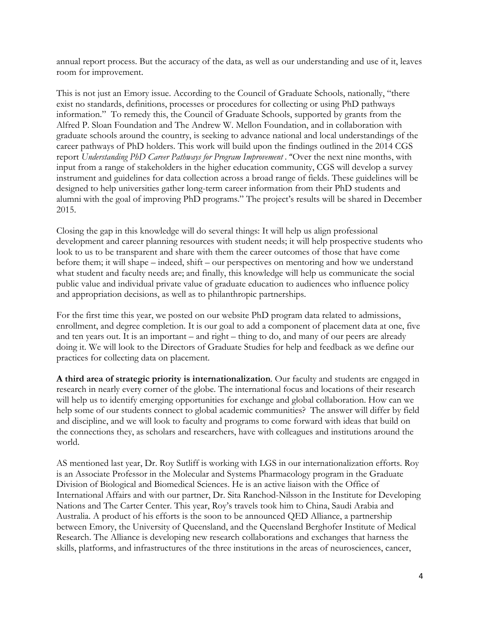annual report process. But the accuracy of the data, as well as our understanding and use of it, leaves room for improvement.

This is not just an Emory issue. According to the Council of Graduate Schools, nationally, "there exist no standards, definitions, processes or procedures for collecting or using PhD pathways information." To remedy this, the Council of Graduate Schools, supported by grants from the Alfred P. Sloan Foundation and The Andrew W. Mellon Foundation, and in collaboration with graduate schools around the country, is seeking to advance national and local understandings of the career pathways of PhD holders. This work will build upon the findings outlined in the 2014 CGS report *Understanding PhD Career Pathways for Program Improvement* . "Over the next nine months, with input from a range of stakeholders in the higher education community, CGS will develop a survey instrument and guidelines for data collection across a broad range of fields. These guidelines will be designed to help universities gather long-term career information from their PhD students and alumni with the goal of improving PhD programs." The project's results will be shared in December 2015.

Closing the gap in this knowledge will do several things: It will help us align professional development and career planning resources with student needs; it will help prospective students who look to us to be transparent and share with them the career outcomes of those that have come before them; it will shape – indeed, shift – our perspectives on mentoring and how we understand what student and faculty needs are; and finally, this knowledge will help us communicate the social public value and individual private value of graduate education to audiences who influence policy and appropriation decisions, as well as to philanthropic partnerships.

For the first time this year, we posted on our website PhD program data related to admissions, enrollment, and degree completion. It is our goal to add a component of placement data at one, five and ten years out. It is an important – and right – thing to do, and many of our peers are already doing it. We will look to the Directors of Graduate Studies for help and feedback as we define our practices for collecting data on placement.

**A third area of strategic priority is internationalization**. Our faculty and students are engaged in research in nearly every corner of the globe. The international focus and locations of their research will help us to identify emerging opportunities for exchange and global collaboration. How can we help some of our students connect to global academic communities? The answer will differ by field and discipline, and we will look to faculty and programs to come forward with ideas that build on the connections they, as scholars and researchers, have with colleagues and institutions around the world.

AS mentioned last year, Dr. Roy Sutliff is working with LGS in our internationalization efforts. Roy is an Associate Professor in the Molecular and Systems Pharmacology program in the Graduate Division of Biological and Biomedical Sciences. He is an active liaison with the Office of International Affairs and with our partner, Dr. Sita Ranchod-Nilsson in the Institute for Developing Nations and The Carter Center. This year, Roy's travels took him to China, Saudi Arabia and Australia. A product of his efforts is the soon to be announced QED Alliance, a partnership between Emory, the University of Queensland, and the Queensland Berghofer Institute of Medical Research. The Alliance is developing new research collaborations and exchanges that harness the skills, platforms, and infrastructures of the three institutions in the areas of neurosciences, cancer,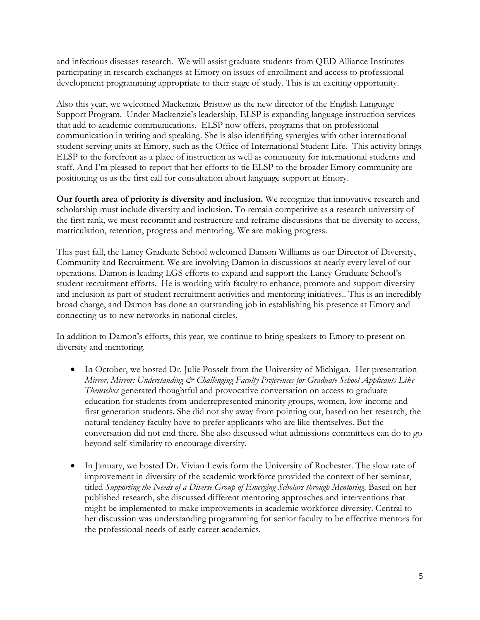and infectious diseases research. We will assist graduate students from QED Alliance Institutes participating in research exchanges at Emory on issues of enrollment and access to professional development programming appropriate to their stage of study. This is an exciting opportunity.

Also this year, we welcomed Mackenzie Bristow as the new director of the English Language Support Program. Under Mackenzie's leadership, ELSP is expanding language instruction services that add to academic communications. ELSP now offers, programs that on professional communication in writing and speaking. She is also identifying synergies with other international student serving units at Emory, such as the Office of International Student Life. This activity brings ELSP to the forefront as a place of instruction as well as community for international students and staff. And I'm pleased to report that her efforts to tie ELSP to the broader Emory community are positioning us as the first call for consultation about language support at Emory.

**Our fourth area of priority is diversity and inclusion.** We recognize that innovative research and scholarship must include diversity and inclusion. To remain competitive as a research university of the first rank, we must recommit and restructure and reframe discussions that tie diversity to access, matriculation, retention, progress and mentoring. We are making progress.

This past fall, the Laney Graduate School welcomed Damon Williams as our Director of Diversity, Community and Recruitment. We are involving Damon in discussions at nearly every level of our operations. Damon is leading LGS efforts to expand and support the Laney Graduate School's student recruitment efforts. He is working with faculty to enhance, promote and support diversity and inclusion as part of student recruitment activities and mentoring initiatives.. This is an incredibly broad charge, and Damon has done an outstanding job in establishing his presence at Emory and connecting us to new networks in national circles.

In addition to Damon's efforts, this year, we continue to bring speakers to Emory to present on diversity and mentoring.

- In October, we hosted Dr. Julie Posselt from the University of Michigan. Her presentation *Mirror, Mirror: Understanding*  $\mathfrak{S}$  *Challenging Faculty Preferences for Graduate School Applicants Like Themselves* generated thoughtful and provocative conversation on access to graduate education for students from underrepresented minority groups, women, low-income and first generation students. She did not shy away from pointing out, based on her research, the natural tendency faculty have to prefer applicants who are like themselves. But the conversation did not end there. She also discussed what admissions committees can do to go beyond self-similarity to encourage diversity.
- In January, we hosted Dr. Vivian Lewis form the University of Rochester. The slow rate of improvement in diversity of the academic workforce provided the context of her seminar, titled *Supporting the Needs of a Diverse Group of Emerging Scholars through Mentoring*. Based on her published research, she discussed different mentoring approaches and interventions that might be implemented to make improvements in academic workforce diversity. Central to her discussion was understanding programming for senior faculty to be effective mentors for the professional needs of early career academics.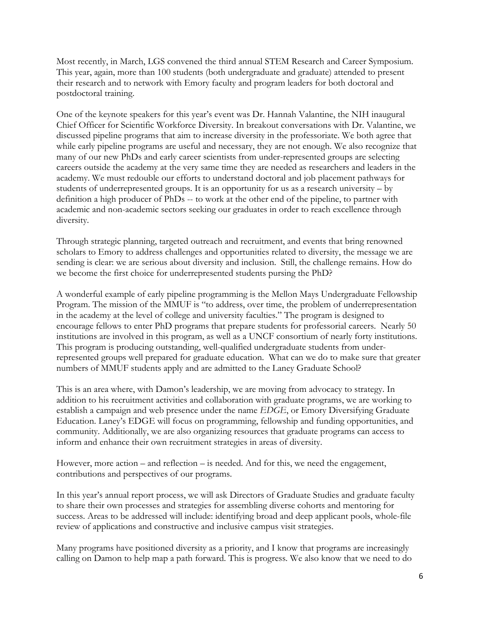Most recently, in March, LGS convened the third annual STEM Research and Career Symposium. This year, again, more than 100 students (both undergraduate and graduate) attended to present their research and to network with Emory faculty and program leaders for both doctoral and postdoctoral training.

One of the keynote speakers for this year's event was Dr. Hannah Valantine, the NIH inaugural Chief Officer for Scientific Workforce Diversity. In breakout conversations with Dr. Valantine, we discussed pipeline programs that aim to increase diversity in the professoriate. We both agree that while early pipeline programs are useful and necessary, they are not enough. We also recognize that many of our new PhDs and early career scientists from under-represented groups are selecting careers outside the academy at the very same time they are needed as researchers and leaders in the academy. We must redouble our efforts to understand doctoral and job placement pathways for students of underrepresented groups. It is an opportunity for us as a research university – by definition a high producer of PhDs -- to work at the other end of the pipeline, to partner with academic and non-academic sectors seeking our graduates in order to reach excellence through diversity.

Through strategic planning, targeted outreach and recruitment, and events that bring renowned scholars to Emory to address challenges and opportunities related to diversity, the message we are sending is clear: we are serious about diversity and inclusion. Still, the challenge remains. How do we become the first choice for underrepresented students pursing the PhD?

A wonderful example of early pipeline programming is the Mellon Mays Undergraduate Fellowship Program. The mission of the MMUF is "to address, over time, the problem of underrepresentation in the academy at the level of college and university faculties." The program is designed to encourage fellows to enter PhD programs that prepare students for professorial careers. Nearly 50 institutions are involved in this program, as well as a UNCF consortium of nearly forty institutions. This program is producing outstanding, well-qualified undergraduate students from underrepresented groups well prepared for graduate education. What can we do to make sure that greater numbers of MMUF students apply and are admitted to the Laney Graduate School?

This is an area where, with Damon's leadership, we are moving from advocacy to strategy. In addition to his recruitment activities and collaboration with graduate programs, we are working to establish a campaign and web presence under the name *EDGE*, or Emory Diversifying Graduate Education. Laney's EDGE will focus on programming, fellowship and funding opportunities, and community. Additionally, we are also organizing resources that graduate programs can access to inform and enhance their own recruitment strategies in areas of diversity.

However, more action – and reflection – is needed. And for this, we need the engagement, contributions and perspectives of our programs.

In this year's annual report process, we will ask Directors of Graduate Studies and graduate faculty to share their own processes and strategies for assembling diverse cohorts and mentoring for success. Areas to be addressed will include: identifying broad and deep applicant pools, whole-file review of applications and constructive and inclusive campus visit strategies.

Many programs have positioned diversity as a priority, and I know that programs are increasingly calling on Damon to help map a path forward. This is progress. We also know that we need to do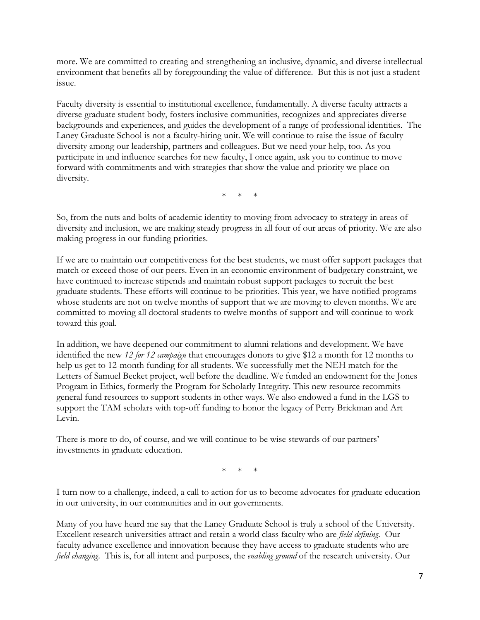more. We are committed to creating and strengthening an inclusive, dynamic, and diverse intellectual environment that benefits all by foregrounding the value of difference. But this is not just a student issue.

Faculty diversity is essential to institutional excellence, fundamentally. A diverse faculty attracts a diverse graduate student body, fosters inclusive communities, recognizes and appreciates diverse backgrounds and experiences, and guides the development of a range of professional identities. The Laney Graduate School is not a faculty-hiring unit. We will continue to raise the issue of faculty diversity among our leadership, partners and colleagues. But we need your help, too. As you participate in and influence searches for new faculty, I once again, ask you to continue to move forward with commitments and with strategies that show the value and priority we place on diversity.

 $*$  \*

So, from the nuts and bolts of academic identity to moving from advocacy to strategy in areas of diversity and inclusion, we are making steady progress in all four of our areas of priority. We are also making progress in our funding priorities.

If we are to maintain our competitiveness for the best students, we must offer support packages that match or exceed those of our peers. Even in an economic environment of budgetary constraint, we have continued to increase stipends and maintain robust support packages to recruit the best graduate students. These efforts will continue to be priorities. This year, we have notified programs whose students are not on twelve months of support that we are moving to eleven months. We are committed to moving all doctoral students to twelve months of support and will continue to work toward this goal.

In addition, we have deepened our commitment to alumni relations and development. We have identified the new *12 for 12 campaign* that encourages donors to give \$12 a month for 12 months to help us get to 12-month funding for all students. We successfully met the NEH match for the Letters of Samuel Becket project, well before the deadline. We funded an endowment for the Jones Program in Ethics, formerly the Program for Scholarly Integrity. This new resource recommits general fund resources to support students in other ways. We also endowed a fund in the LGS to support the TAM scholars with top-off funding to honor the legacy of Perry Brickman and Art Levin.

There is more to do, of course, and we will continue to be wise stewards of our partners' investments in graduate education.

 $*$  \*

I turn now to a challenge, indeed, a call to action for us to become advocates for graduate education in our university, in our communities and in our governments.

Many of you have heard me say that the Laney Graduate School is truly a school of the University. Excellent research universities attract and retain a world class faculty who are *field defining*. Our faculty advance excellence and innovation because they have access to graduate students who are *field changing*. This is, for all intent and purposes, the *enabling ground* of the research university. Our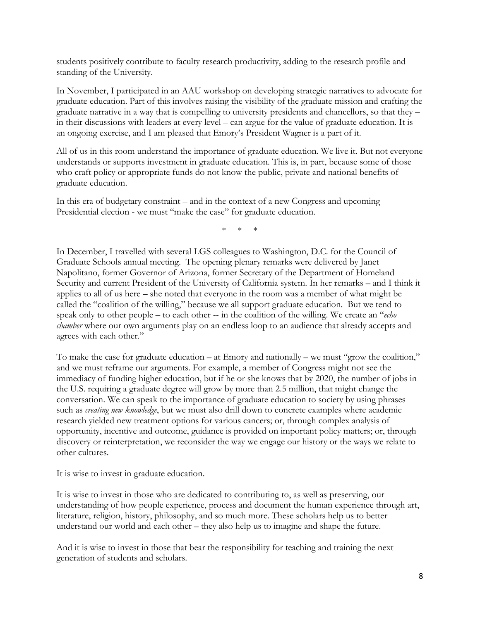students positively contribute to faculty research productivity, adding to the research profile and standing of the University.

In November, I participated in an AAU workshop on developing strategic narratives to advocate for graduate education. Part of this involves raising the visibility of the graduate mission and crafting the graduate narrative in a way that is compelling to university presidents and chancellors, so that they – in their discussions with leaders at every level – can argue for the value of graduate education. It is an ongoing exercise, and I am pleased that Emory's President Wagner is a part of it.

All of us in this room understand the importance of graduate education. We live it. But not everyone understands or supports investment in graduate education. This is, in part, because some of those who craft policy or appropriate funds do not know the public, private and national benefits of graduate education.

In this era of budgetary constraint – and in the context of a new Congress and upcoming Presidential election - we must "make the case" for graduate education.

 $*$  \*

In December, I travelled with several LGS colleagues to Washington, D.C. for the Council of Graduate Schools annual meeting. The opening plenary remarks were delivered by Janet Napolitano, former Governor of Arizona, former Secretary of the Department of Homeland Security and current President of the University of California system. In her remarks – and I think it applies to all of us here – she noted that everyone in the room was a member of what might be called the "coalition of the willing," because we all support graduate education. But we tend to speak only to other people – to each other -- in the coalition of the willing. We create an "*echo chamber* where our own arguments play on an endless loop to an audience that already accepts and agrees with each other."

To make the case for graduate education – at Emory and nationally – we must "grow the coalition," and we must reframe our arguments. For example, a member of Congress might not see the immediacy of funding higher education, but if he or she knows that by 2020, the number of jobs in the U.S. requiring a graduate degree will grow by more than 2.5 million, that might change the conversation. We can speak to the importance of graduate education to society by using phrases such as *creating new knowledge*, but we must also drill down to concrete examples where academic research yielded new treatment options for various cancers; or, through complex analysis of opportunity, incentive and outcome, guidance is provided on important policy matters; or, through discovery or reinterpretation, we reconsider the way we engage our history or the ways we relate to other cultures.

It is wise to invest in graduate education.

It is wise to invest in those who are dedicated to contributing to, as well as preserving, our understanding of how people experience, process and document the human experience through art, literature, religion, history, philosophy, and so much more. These scholars help us to better understand our world and each other – they also help us to imagine and shape the future.

And it is wise to invest in those that bear the responsibility for teaching and training the next generation of students and scholars.